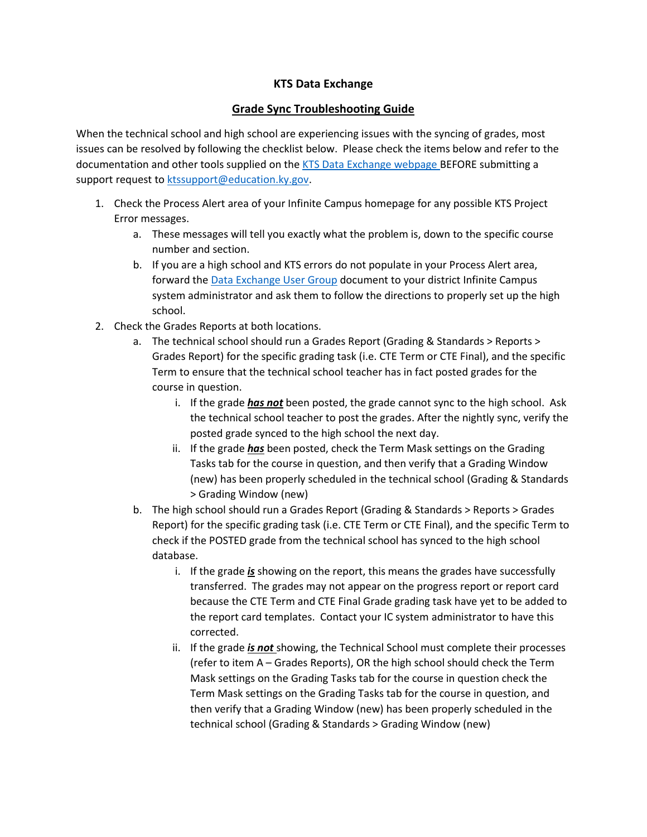## **KTS Data Exchange**

## **Grade Sync Troubleshooting Guide**

When the technical school and high school are experiencing issues with the syncing of grades, most issues can be resolved by following the checklist below. Please check the items below and refer to the documentation and other tools supplied on the [KTS Data Exchange webpage](http://education.ky.gov/districts/tech/sis/Pages/KSIS-KTS-Data-Exchange.aspx) BEFORE submitting a support request to [ktssupport@education.ky.gov.](mailto:ktssupport@education.ky.gov)

- 1. Check the Process Alert area of your Infinite Campus homepage for any possible KTS Project Error messages.
	- a. These messages will tell you exactly what the problem is, down to the specific course number and section.
	- b. If you are a high school and KTS errors do not populate in your Process Alert area, forward th[e Data Exchange User Group](http://education.ky.gov/districts/tech/sis/Documents/KSIS-KTS_AddUserGroup.pdf) document to your district Infinite Campus system administrator and ask them to follow the directions to properly set up the high school.
- 2. Check the Grades Reports at both locations.
	- a. The technical school should run a Grades Report (Grading & Standards > Reports > Grades Report) for the specific grading task (i.e. CTE Term or CTE Final), and the specific Term to ensure that the technical school teacher has in fact posted grades for the course in question.
		- i. If the grade *has not* been posted, the grade cannot sync to the high school. Ask the technical school teacher to post the grades. After the nightly sync, verify the posted grade synced to the high school the next day.
		- ii. If the grade *has* been posted, check the Term Mask settings on the Grading Tasks tab for the course in question, and then verify that a Grading Window (new) has been properly scheduled in the technical school (Grading & Standards > Grading Window (new)
	- b. The high school should run a Grades Report (Grading & Standards > Reports > Grades Report) for the specific grading task (i.e. CTE Term or CTE Final), and the specific Term to check if the POSTED grade from the technical school has synced to the high school database.
		- i. If the grade *is* showing on the report, this means the grades have successfully transferred. The grades may not appear on the progress report or report card because the CTE Term and CTE Final Grade grading task have yet to be added to the report card templates. Contact your IC system administrator to have this corrected.
		- ii. If the grade *is not* showing, the Technical School must complete their processes (refer to item A – Grades Reports), OR the high school should check the Term Mask settings on the Grading Tasks tab for the course in question check the Term Mask settings on the Grading Tasks tab for the course in question, and then verify that a Grading Window (new) has been properly scheduled in the technical school (Grading & Standards > Grading Window (new)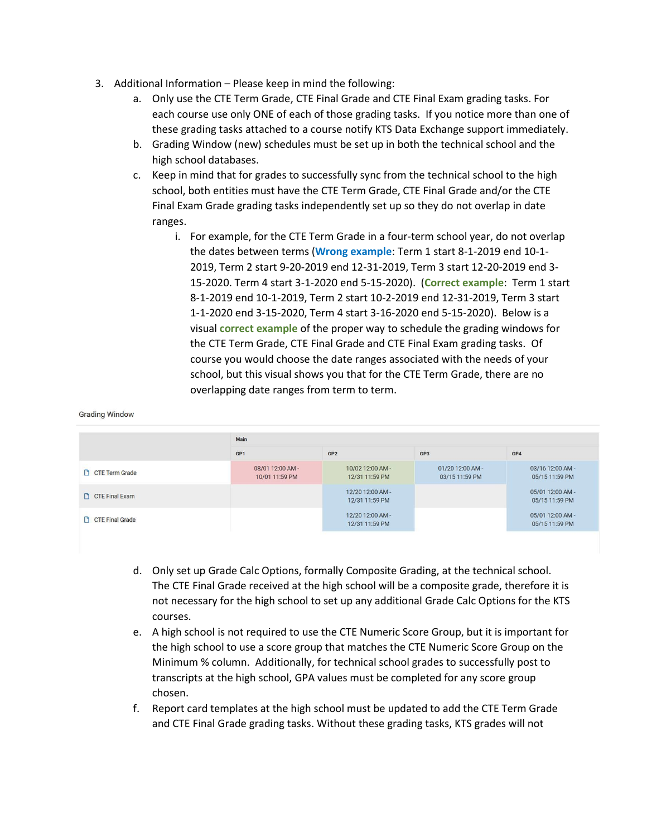3. Additional Information – Please keep in mind the following:

**Grading Window** 

- a. Only use the CTE Term Grade, CTE Final Grade and CTE Final Exam grading tasks. For each course use only ONE of each of those grading tasks. If you notice more than one of these grading tasks attached to a course notify KTS Data Exchange support immediately.
- b. Grading Window (new) schedules must be set up in both the technical school and the high school databases.
- c. Keep in mind that for grades to successfully sync from the technical school to the high school, both entities must have the CTE Term Grade, CTE Final Grade and/or the CTE Final Exam Grade grading tasks independently set up so they do not overlap in date ranges.
	- i. For example, for the CTE Term Grade in a four-term school year, do not overlap the dates between terms (**Wrong example**: Term 1 start 8-1-2019 end 10-1- 2019, Term 2 start 9-20-2019 end 12-31-2019, Term 3 start 12-20-2019 end 3- 15-2020. Term 4 start 3-1-2020 end 5-15-2020). (**Correct example**: Term 1 start 8-1-2019 end 10-1-2019, Term 2 start 10-2-2019 end 12-31-2019, Term 3 start 1-1-2020 end 3-15-2020, Term 4 start 3-16-2020 end 5-15-2020). Below is a visual **correct example** of the proper way to schedule the grading windows for the CTE Term Grade, CTE Final Grade and CTE Final Exam grading tasks. Of course you would choose the date ranges associated with the needs of your school, but this visual shows you that for the CTE Term Grade, there are no overlapping date ranges from term to term.

## Main GP<sub>1</sub> GP<sub>2</sub> GP3 GP4 08/01 12:00 AM -10/02 12:00 AM -01/20 12:00 AM -03/16 12:00 AM -**CTE Term Grade** 10/01 11:59 PM 12/31 11:59 PM 03/15 11:59 PM 05/15 11:59 PM 12/20 12:00 AM -05/01 12:00 AM -CTE Final Exam 05/15 11:59 PM 12/31 11:59 PM 12/20 12:00 AM -05/01 12:00 AM -**CTE** Final Grade 12/31 11:59 PM 05/15 11:59 PM

- d. Only set up Grade Calc Options, formally Composite Grading, at the technical school. The CTE Final Grade received at the high school will be a composite grade, therefore it is not necessary for the high school to set up any additional Grade Calc Options for the KTS courses.
- e. A high school is not required to use the CTE Numeric Score Group, but it is important for the high school to use a score group that matches the CTE Numeric Score Group on the Minimum % column. Additionally, for technical school grades to successfully post to transcripts at the high school, GPA values must be completed for any score group chosen.
- f. Report card templates at the high school must be updated to add the CTE Term Grade and CTE Final Grade grading tasks. Without these grading tasks, KTS grades will not